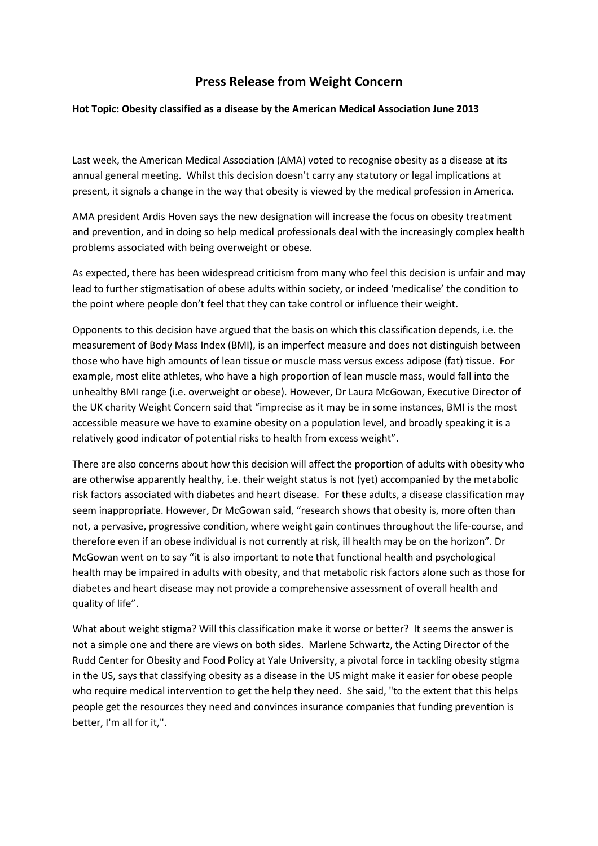## **Press Release from Weight Concern**

## **Hot Topic: Obesity classified as a disease by the American Medical Association June 2013**

Last week, the American Medical Association (AMA) voted to recognise obesity as a disease at its annual general meeting. Whilst this decision doesn't carry any statutory or legal implications at present, it signals a change in the way that obesity is viewed by the medical profession in America.

AMA president Ardis Hoven says the new designation will increase the focus on obesity treatment and prevention, and in doing so help medical professionals deal with the increasingly complex health problems associated with being overweight or obese.

As expected, there has been widespread criticism from many who feel this decision is unfair and may lead to further stigmatisation of obese adults within society, or indeed 'medicalise' the condition to the point where people don't feel that they can take control or influence their weight.

Opponents to this decision have argued that the basis on which this classification depends, i.e. the measurement of Body Mass Index (BMI), is an imperfect measure and does not distinguish between those who have high amounts of lean tissue or muscle mass versus excess adipose (fat) tissue. For example, most elite athletes, who have a high proportion of lean muscle mass, would fall into the unhealthy BMI range (i.e. overweight or obese). However, Dr Laura McGowan, Executive Director of the UK charity Weight Concern said that "imprecise as it may be in some instances, BMI is the most accessible measure we have to examine obesity on a population level, and broadly speaking it is a relatively good indicator of potential risks to health from excess weight".

There are also concerns about how this decision will affect the proportion of adults with obesity who are otherwise apparently healthy, i.e. their weight status is not (yet) accompanied by the metabolic risk factors associated with diabetes and heart disease. For these adults, a disease classification may seem inappropriate. However, Dr McGowan said, "research shows that obesity is, more often than not, a pervasive, progressive condition, where weight gain continues throughout the life-course, and therefore even if an obese individual is not currently at risk, ill health may be on the horizon". Dr McGowan went on to say "it is also important to note that functional health and psychological health may be impaired in adults with obesity, and that metabolic risk factors alone such as those for diabetes and heart disease may not provide a comprehensive assessment of overall health and quality of life".

What about weight stigma? Will this classification make it worse or better? It seems the answer is not a simple one and there are views on both sides. Marlene Schwartz, the Acting Director of the Rudd Center for Obesity and Food Policy at Yale University, a pivotal force in tackling obesity stigma in the US, says that classifying obesity as a disease in the US might make it easier for obese people who require medical intervention to get the help they need. She said, "to the extent that this helps people get the resources they need and convinces insurance companies that funding prevention is better, I'm all for it,".